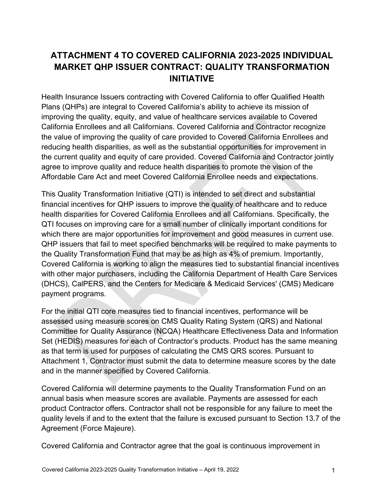# **ATTACHMENT 4 TO COVERED CALIFORNIA 2023-2025 INDIVIDUAL MARKET QHP ISSUER CONTRACT: QUALITY TRANSFORMATION INITIATIVE**

Health Insurance Issuers contracting with Covered California to offer Qualified Health Plans (QHPs) are integral to Covered California's ability to achieve its mission of improving the quality, equity, and value of healthcare services available to Covered California Enrollees and all Californians. Covered California and Contractor recognize the value of improving the quality of care provided to Covered California Enrollees and reducing health disparities, as well as the substantial opportunities for improvement in the current quality and equity of care provided. Covered California and Contractor jointly agree to improve quality and reduce health disparities to promote the vision of the Affordable Care Act and meet Covered California Enrollee needs and expectations.

This Quality Transformation Initiative (QTI) is intended to set direct and substantial financial incentives for QHP issuers to improve the quality of healthcare and to reduce health disparities for Covered California Enrollees and all Californians. Specifically, the QTI focuses on improving care for a small number of clinically important conditions for which there are major opportunities for improvement and good measures in current use. QHP issuers that fail to meet specified benchmarks will be required to make payments to the Quality Transformation Fund that may be as high as 4% of premium. Importantly, Covered California is working to align the measures tied to substantial financial incentives with other major purchasers, including the California Department of Health Care Services (DHCS), CalPERS, and the Centers for Medicare & Medicaid Services' (CMS) Medicare payment programs.

For the initial QTI core measures tied to financial incentives, performance will be assessed using measure scores on CMS Quality Rating System (QRS) and National Committee for Quality Assurance (NCQA) Healthcare Effectiveness Data and Information Set (HEDIS) measures for each of Contractor's products. Product has the same meaning as that term is used for purposes of calculating the CMS QRS scores. Pursuant to Attachment 1, Contractor must submit the data to determine measure scores by the date and in the manner specified by Covered California.

Covered California will determine payments to the Quality Transformation Fund on an annual basis when measure scores are available. Payments are assessed for each product Contractor offers. Contractor shall not be responsible for any failure to meet the quality levels if and to the extent that the failure is excused pursuant to Section 13.7 of the Agreement (Force Majeure).

Covered California and Contractor agree that the goal is continuous improvement in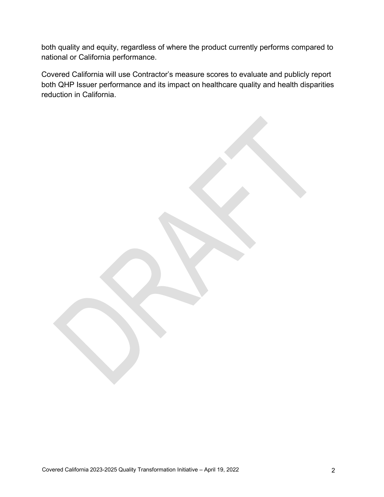both quality and equity, regardless of where the product currently performs compared to national or California performance.

Covered California will use Contractor's measure scores to evaluate and publicly report both QHP Issuer performance and its impact on healthcare quality and health disparities reduction in California.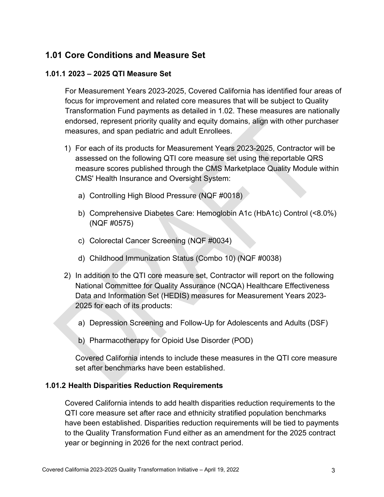## **1.01 Core Conditions and Measure Set**

### **1.01.1 2023 – 2025 QTI Measure Set**

For Measurement Years 2023-2025, Covered California has identified four areas of focus for improvement and related core measures that will be subject to Quality Transformation Fund payments as detailed in 1.02. These measures are nationally endorsed, represent priority quality and equity domains, align with other purchaser measures, and span pediatric and adult Enrollees.

- 1) For each of its products for Measurement Years 2023-2025, Contractor will be assessed on the following QTI core measure set using the reportable QRS measure scores published through the CMS Marketplace Quality Module within CMS' Health Insurance and Oversight System:
	- a) Controlling High Blood Pressure (NQF #0018)
	- b) Comprehensive Diabetes Care: Hemoglobin A1c (HbA1c) Control (<8.0%) (NQF #0575)
	- c) Colorectal Cancer Screening (NQF #0034)
	- d) Childhood Immunization Status (Combo 10) (NQF #0038)
- 2) In addition to the QTI core measure set, Contractor will report on the following National Committee for Quality Assurance (NCQA) Healthcare Effectiveness Data and Information Set (HEDIS) measures for Measurement Years 2023- 2025 for each of its products:
	- a) Depression Screening and Follow-Up for Adolescents and Adults (DSF)
	- b) Pharmacotherapy for Opioid Use Disorder (POD)

Covered California intends to include these measures in the QTI core measure set after benchmarks have been established.

#### **1.01.2 Health Disparities Reduction Requirements**

Covered California intends to add health disparities reduction requirements to the QTI core measure set after race and ethnicity stratified population benchmarks have been established. Disparities reduction requirements will be tied to payments to the Quality Transformation Fund either as an amendment for the 2025 contract year or beginning in 2026 for the next contract period.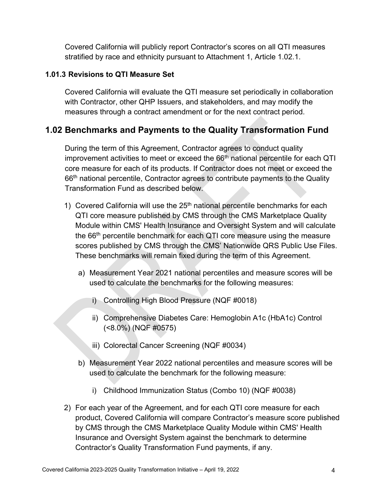Covered California will publicly report Contractor's scores on all QTI measures stratified by race and ethnicity pursuant to Attachment 1, Article 1.02.1.

### **1.01.3 Revisions to QTI Measure Set**

Covered California will evaluate the QTI measure set periodically in collaboration with Contractor, other QHP Issuers, and stakeholders, and may modify the measures through a contract amendment or for the next contract period.

## **1.02 Benchmarks and Payments to the Quality Transformation Fund**

During the term of this Agreement, Contractor agrees to conduct quality improvement activities to meet or exceed the 66<sup>th</sup> national percentile for each QTI core measure for each of its products. If Contractor does not meet or exceed the 66<sup>th</sup> national percentile, Contractor agrees to contribute payments to the Quality Transformation Fund as described below.

- 1) Covered California will use the  $25<sup>th</sup>$  national percentile benchmarks for each QTI core measure published by CMS through the CMS Marketplace Quality Module within CMS' Health Insurance and Oversight System and will calculate the 66<sup>th</sup> percentile benchmark for each QTI core measure using the measure scores published by CMS through the CMS' Nationwide QRS Public Use Files. These benchmarks will remain fixed during the term of this Agreement.
	- a) Measurement Year 2021 national percentiles and measure scores will be used to calculate the benchmarks for the following measures:
		- i) Controlling High Blood Pressure (NQF #0018)
		- ii) Comprehensive Diabetes Care: Hemoglobin A1c (HbA1c) Control (<8.0%) (NQF #0575)
		- iii) Colorectal Cancer Screening (NQF #0034)
	- b) Measurement Year 2022 national percentiles and measure scores will be used to calculate the benchmark for the following measure:
		- i) Childhood Immunization Status (Combo 10) (NQF #0038)
- 2) For each year of the Agreement, and for each QTI core measure for each product, Covered California will compare Contractor's measure score published by CMS through the CMS Marketplace Quality Module within CMS' Health Insurance and Oversight System against the benchmark to determine Contractor's Quality Transformation Fund payments, if any.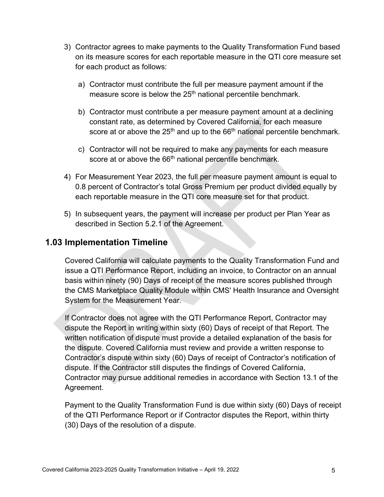- 3) Contractor agrees to make payments to the Quality Transformation Fund based on its measure scores for each reportable measure in the QTI core measure set for each product as follows:
	- a) Contractor must contribute the full per measure payment amount if the measure score is below the 25<sup>th</sup> national percentile benchmark.
	- b) Contractor must contribute a per measure payment amount at a declining constant rate, as determined by Covered California, for each measure score at or above the  $25<sup>th</sup>$  and up to the  $66<sup>th</sup>$  national percentile benchmark.
	- c) Contractor will not be required to make any payments for each measure score at or above the 66<sup>th</sup> national percentile benchmark.
- 4) For Measurement Year 2023, the full per measure payment amount is equal to 0.8 percent of Contractor's total Gross Premium per product divided equally by each reportable measure in the QTI core measure set for that product.
- 5) In subsequent years, the payment will increase per product per Plan Year as described in Section 5.2.1 of the Agreement.

### **1.03 Implementation Timeline**

Covered California will calculate payments to the Quality Transformation Fund and issue a QTI Performance Report, including an invoice, to Contractor on an annual basis within ninety (90) Days of receipt of the measure scores published through the CMS Marketplace Quality Module within CMS' Health Insurance and Oversight System for the Measurement Year.

If Contractor does not agree with the QTI Performance Report, Contractor may dispute the Report in writing within sixty (60) Days of receipt of that Report. The written notification of dispute must provide a detailed explanation of the basis for the dispute. Covered California must review and provide a written response to Contractor's dispute within sixty (60) Days of receipt of Contractor's notification of dispute. If the Contractor still disputes the findings of Covered California, Contractor may pursue additional remedies in accordance with Section 13.1 of the Agreement.

Payment to the Quality Transformation Fund is due within sixty (60) Days of receipt of the QTI Performance Report or if Contractor disputes the Report, within thirty (30) Days of the resolution of a dispute.